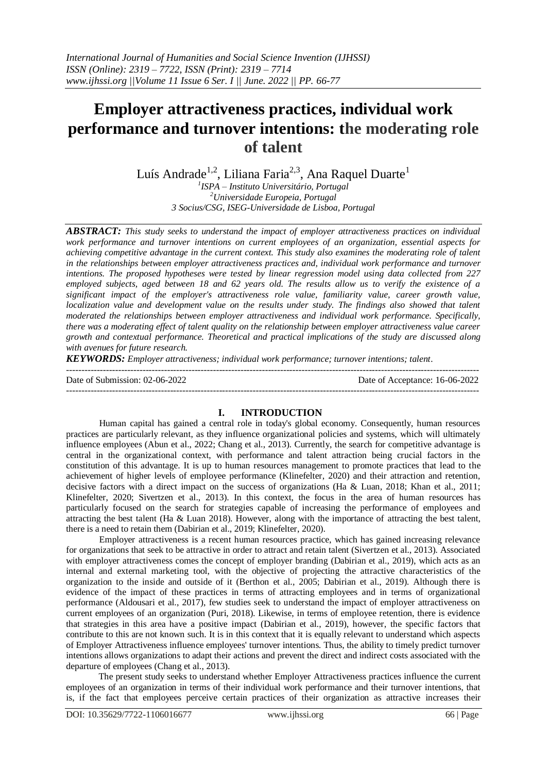# **Employer attractiveness practices, individual work performance and turnover intentions: the moderating role of talent**

Luís Andrade<sup>1,2</sup>, Liliana Faria<sup>2,3</sup>, Ana Raquel Duarte<sup>1</sup> *1 ISPA – Instituto Universitário, Portugal <sup>2</sup>Universidade Europeia, Portugal 3 Socius/CSG, ISEG-Universidade de Lisboa, Portugal*

*ABSTRACT: This study seeks to understand the impact of employer attractiveness practices on individual work performance and turnover intentions on current employees of an organization, essential aspects for achieving competitive advantage in the current context. This study also examines the moderating role of talent in the relationships between employer attractiveness practices and, individual work performance and turnover intentions. The proposed hypotheses were tested by linear regression model using data collected from 227 employed subjects, aged between 18 and 62 years old. The results allow us to verify the existence of a significant impact of the employer's attractiveness role value, familiarity value, career growth value, localization value and development value on the results under study. The findings also showed that talent moderated the relationships between employer attractiveness and individual work performance. Specifically, there was a moderating effect of talent quality on the relationship between employer attractiveness value career growth and contextual performance. Theoretical and practical implications of the study are discussed along with avenues for future research.*

*KEYWORDS: Employer attractiveness; individual work performance; turnover intentions; talent.*  $-1\leq i\leq n-1$ 

Date of Submission: 02-06-2022 Date of Acceptance: 16-06-2022

---------------------------------------------------------------------------------------------------------------------------------------

## **I. INTRODUCTION**

Human capital has gained a central role in today's global economy. Consequently, human resources practices are particularly relevant, as they influence organizational policies and systems, which will ultimately influence employees (Abun et al., 2022; Chang et al., 2013). Currently, the search for competitive advantage is central in the organizational context, with performance and talent attraction being crucial factors in the constitution of this advantage. It is up to human resources management to promote practices that lead to the achievement of higher levels of employee performance (Klinefelter, 2020) and their attraction and retention, decisive factors with a direct impact on the success of organizations (Ha & Luan, 2018; Khan et al., 2011; Klinefelter, 2020; Sivertzen et al., 2013). In this context, the focus in the area of human resources has particularly focused on the search for strategies capable of increasing the performance of employees and attracting the best talent (Ha & Luan 2018). However, along with the importance of attracting the best talent, there is a need to retain them (Dabirian et al., 2019; Klinefelter, 2020).

Employer attractiveness is a recent human resources practice, which has gained increasing relevance for organizations that seek to be attractive in order to attract and retain talent (Sivertzen et al., 2013). Associated with employer attractiveness comes the concept of employer branding (Dabirian et al., 2019), which acts as an internal and external marketing tool, with the objective of projecting the attractive characteristics of the organization to the inside and outside of it (Berthon et al., 2005; Dabirian et al., 2019). Although there is evidence of the impact of these practices in terms of attracting employees and in terms of organizational performance (Aldousari et al., 2017), few studies seek to understand the impact of employer attractiveness on current employees of an organization (Puri, 2018). Likewise, in terms of employee retention, there is evidence that strategies in this area have a positive impact (Dabirian et al., 2019), however, the specific factors that contribute to this are not known such. It is in this context that it is equally relevant to understand which aspects of Employer Attractiveness influence employees' turnover intentions. Thus, the ability to timely predict turnover intentions allows organizations to adapt their actions and prevent the direct and indirect costs associated with the departure of employees (Chang et al., 2013).

The present study seeks to understand whether Employer Attractiveness practices influence the current employees of an organization in terms of their individual work performance and their turnover intentions, that is, if the fact that employees perceive certain practices of their organization as attractive increases their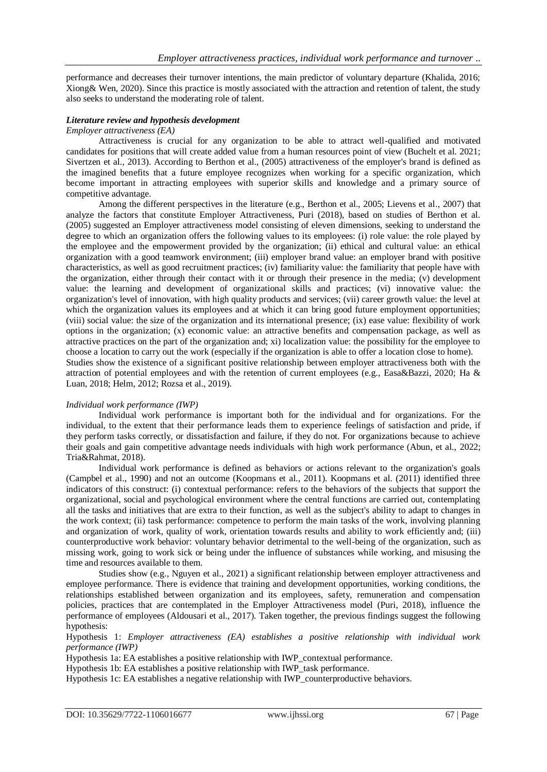performance and decreases their turnover intentions, the main predictor of voluntary departure (Khalida, 2016; Xiong& Wen, 2020). Since this practice is mostly associated with the attraction and retention of talent, the study also seeks to understand the moderating role of talent.

#### *Literature review and hypothesis development*

#### *Employer attractiveness (EA)*

Attractiveness is crucial for any organization to be able to attract well-qualified and motivated candidates for positions that will create added value from a human resources point of view (Buchelt et al. 2021; Sivertzen et al., 2013). According to Berthon et al., (2005) attractiveness of the employer's brand is defined as the imagined benefits that a future employee recognizes when working for a specific organization, which become important in attracting employees with superior skills and knowledge and a primary source of competitive advantage.

Among the different perspectives in the literature (e.g., Berthon et al., 2005; Lievens et al., 2007) that analyze the factors that constitute Employer Attractiveness, Puri (2018), based on studies of Berthon et al. (2005) suggested an Employer attractiveness model consisting of eleven dimensions, seeking to understand the degree to which an organization offers the following values to its employees: (i) role value: the role played by the employee and the empowerment provided by the organization; (ii) ethical and cultural value: an ethical organization with a good teamwork environment; (iii) employer brand value: an employer brand with positive characteristics, as well as good recruitment practices; (iv) familiarity value: the familiarity that people have with the organization, either through their contact with it or through their presence in the media; (v) development value: the learning and development of organizational skills and practices; (vi) innovative value: the organization's level of innovation, with high quality products and services; (vii) career growth value: the level at which the organization values its employees and at which it can bring good future employment opportunities; (viii) social value: the size of the organization and its international presence; (ix) ease value: flexibility of work options in the organization; (x) economic value: an attractive benefits and compensation package, as well as attractive practices on the part of the organization and; xi) localization value: the possibility for the employee to choose a location to carry out the work (especially if the organization is able to offer a location close to home). Studies show the existence of a significant positive relationship between employer attractiveness both with the attraction of potential employees and with the retention of current employees (e.g., Easa&Bazzi, 2020; Ha & Luan, 2018; Helm, 2012; Rozsa et al., 2019).

#### *Individual work performance (IWP)*

Individual work performance is important both for the individual and for organizations. For the individual, to the extent that their performance leads them to experience feelings of satisfaction and pride, if they perform tasks correctly, or dissatisfaction and failure, if they do not. For organizations because to achieve their goals and gain competitive advantage needs individuals with high work performance (Abun, et al., 2022; Tria&Rahmat, 2018).

Individual work performance is defined as behaviors or actions relevant to the organization's goals (Campbel et al., 1990) and not an outcome (Koopmans et al., 2011). Koopmans et al. (2011) identified three indicators of this construct: (i) contextual performance: refers to the behaviors of the subjects that support the organizational, social and psychological environment where the central functions are carried out, contemplating all the tasks and initiatives that are extra to their function, as well as the subject's ability to adapt to changes in the work context; (ii) task performance: competence to perform the main tasks of the work, involving planning and organization of work, quality of work, orientation towards results and ability to work efficiently and; (iii) counterproductive work behavior: voluntary behavior detrimental to the well-being of the organization, such as missing work, going to work sick or being under the influence of substances while working, and misusing the time and resources available to them.

Studies show (e.g., Nguyen et al., 2021) a significant relationship between employer attractiveness and employee performance. There is evidence that training and development opportunities, working conditions, the relationships established between organization and its employees, safety, remuneration and compensation policies, practices that are contemplated in the Employer Attractiveness model (Puri, 2018), influence the performance of employees (Aldousari et al., 2017). Taken together, the previous findings suggest the following hypothesis:

Hypothesis 1: *Employer attractiveness (EA) establishes a positive relationship with individual work performance (IWP)*

Hypothesis 1a: EA establishes a positive relationship with IWP\_contextual performance.

Hypothesis 1b: EA establishes a positive relationship with IWP\_task performance.

Hypothesis 1c: EA establishes a negative relationship with IWP\_counterproductive behaviors.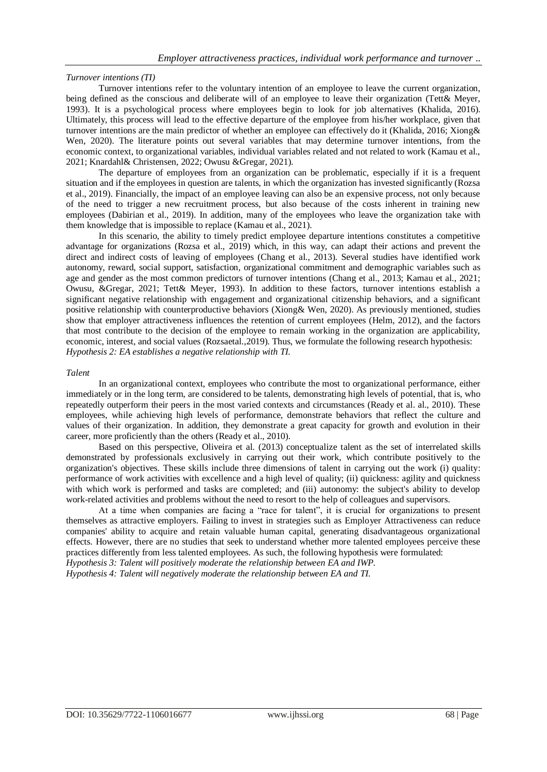#### *Turnover intentions (TI)*

Turnover intentions refer to the voluntary intention of an employee to leave the current organization, being defined as the conscious and deliberate will of an employee to leave their organization (Tett& Meyer, 1993). It is a psychological process where employees begin to look for job alternatives (Khalida, 2016). Ultimately, this process will lead to the effective departure of the employee from his/her workplace, given that turnover intentions are the main predictor of whether an employee can effectively do it (Khalida, 2016; Xiong& Wen, 2020). The literature points out several variables that may determine turnover intentions, from the economic context, to organizational variables, individual variables related and not related to work (Kamau et al., 2021; Knardahl& Christensen, 2022; Owusu &Gregar, 2021).

The departure of employees from an organization can be problematic, especially if it is a frequent situation and if the employees in question are talents, in which the organization has invested significantly (Rozsa et al., 2019). Financially, the impact of an employee leaving can also be an expensive process, not only because of the need to trigger a new recruitment process, but also because of the costs inherent in training new employees (Dabirian et al., 2019). In addition, many of the employees who leave the organization take with them knowledge that is impossible to replace (Kamau et al., 2021).

In this scenario, the ability to timely predict employee departure intentions constitutes a competitive advantage for organizations (Rozsa et al., 2019) which, in this way, can adapt their actions and prevent the direct and indirect costs of leaving of employees (Chang et al., 2013). Several studies have identified work autonomy, reward, social support, satisfaction, organizational commitment and demographic variables such as age and gender as the most common predictors of turnover intentions (Chang et al., 2013; Kamau et al., 2021; Owusu, &Gregar, 2021; Tett& Meyer, 1993). In addition to these factors, turnover intentions establish a significant negative relationship with engagement and organizational citizenship behaviors, and a significant positive relationship with counterproductive behaviors (Xiong& Wen, 2020). As previously mentioned, studies show that employer attractiveness influences the retention of current employees (Helm, 2012), and the factors that most contribute to the decision of the employee to remain working in the organization are applicability, economic, interest, and social values (Rozsaetal.,2019). Thus, we formulate the following research hypothesis: *Hypothesis 2: EA establishes a negative relationship with TI.*

#### *Talent*

In an organizational context, employees who contribute the most to organizational performance, either immediately or in the long term, are considered to be talents, demonstrating high levels of potential, that is, who repeatedly outperform their peers in the most varied contexts and circumstances (Ready et al. al., 2010). These employees, while achieving high levels of performance, demonstrate behaviors that reflect the culture and values of their organization. In addition, they demonstrate a great capacity for growth and evolution in their career, more proficiently than the others (Ready et al., 2010).

Based on this perspective, Oliveira et al. (2013) conceptualize talent as the set of interrelated skills demonstrated by professionals exclusively in carrying out their work, which contribute positively to the organization's objectives. These skills include three dimensions of talent in carrying out the work (i) quality: performance of work activities with excellence and a high level of quality; (ii) quickness: agility and quickness with which work is performed and tasks are completed; and (iii) autonomy: the subject's ability to develop work-related activities and problems without the need to resort to the help of colleagues and supervisors.

At a time when companies are facing a "race for talent", it is crucial for organizations to present themselves as attractive employers. Failing to invest in strategies such as Employer Attractiveness can reduce companies' ability to acquire and retain valuable human capital, generating disadvantageous organizational effects. However, there are no studies that seek to understand whether more talented employees perceive these practices differently from less talented employees. As such, the following hypothesis were formulated:

*Hypothesis 3: Talent will positively moderate the relationship between EA and IWP. Hypothesis 4: Talent will negatively moderate the relationship between EA and TI.*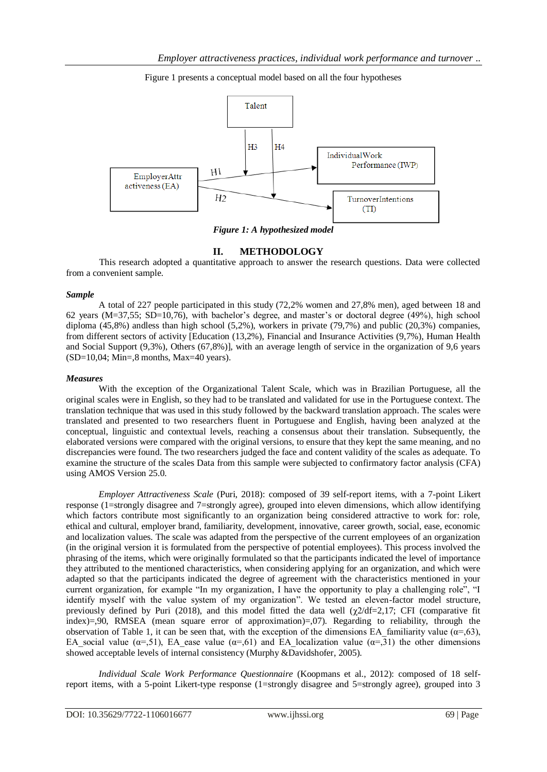Figure 1 presents a conceptual model based on all the four hypotheses



*Figure 1: A hypothesized model*

### **II. METHODOLOGY**

This research adopted a quantitative approach to answer the research questions. Data were collected from a convenient sample.

#### *Sample*

A total of 227 people participated in this study (72,2% women and 27,8% men), aged between 18 and 62 years (M=37,55; SD=10,76), with bachelor's degree, and master's or doctoral degree (49%), high school diploma (45,8%) andless than high school (5,2%), workers in private (79,7%) and public (20,3%) companies, from different sectors of activity [Education (13,2%), Financial and Insurance Activities (9,7%), Human Health and Social Support (9,3%), Others (67,8%)], with an average length of service in the organization of 9,6 years  $(SD=10,04; Min=.8$  months, Max=40 years).

#### *Measures*

With the exception of the Organizational Talent Scale, which was in Brazilian Portuguese, all the original scales were in English, so they had to be translated and validated for use in the Portuguese context. The translation technique that was used in this study followed by the backward translation approach. The scales were translated and presented to two researchers fluent in Portuguese and English, having been analyzed at the conceptual, linguistic and contextual levels, reaching a consensus about their translation. Subsequently, the elaborated versions were compared with the original versions, to ensure that they kept the same meaning, and no discrepancies were found. The two researchers judged the face and content validity of the scales as adequate. To examine the structure of the scales Data from this sample were subjected to confirmatory factor analysis (CFA) using AMOS Version 25.0.

*Employer Attractiveness Scale* (Puri, 2018): composed of 39 self-report items, with a 7-point Likert response (1=strongly disagree and 7=strongly agree), grouped into eleven dimensions, which allow identifying which factors contribute most significantly to an organization being considered attractive to work for: role, ethical and cultural, employer brand, familiarity, development, innovative, career growth, social, ease, economic and localization values. The scale was adapted from the perspective of the current employees of an organization (in the original version it is formulated from the perspective of potential employees). This process involved the phrasing of the items, which were originally formulated so that the participants indicated the level of importance they attributed to the mentioned characteristics, when considering applying for an organization, and which were adapted so that the participants indicated the degree of agreement with the characteristics mentioned in your current organization, for example "In my organization, I have the opportunity to play a challenging role", "I identify myself with the value system of my organization". We tested an eleven-factor model structure, previously defined by Puri (2018), and this model fitted the data well ( $\chi$ 2/df=2,17; CFI (comparative fit index)=,90, RMSEA (mean square error of approximation)=,07). Regarding to reliability, through the observation of Table 1, it can be seen that, with the exception of the dimensions EA familiarity value ( $\alpha$ =,63), EA social value ( $\alpha$ =,51), EA ease value ( $\alpha$ =,61) and EA localization value ( $\alpha$ =,31) the other dimensions showed acceptable levels of internal consistency (Murphy &Davidshofer, 2005).

*Individual Scale Work Performance Questionnaire* (Koopmans et al., 2012): composed of 18 selfreport items, with a 5-point Likert-type response (1=strongly disagree and 5=strongly agree), grouped into 3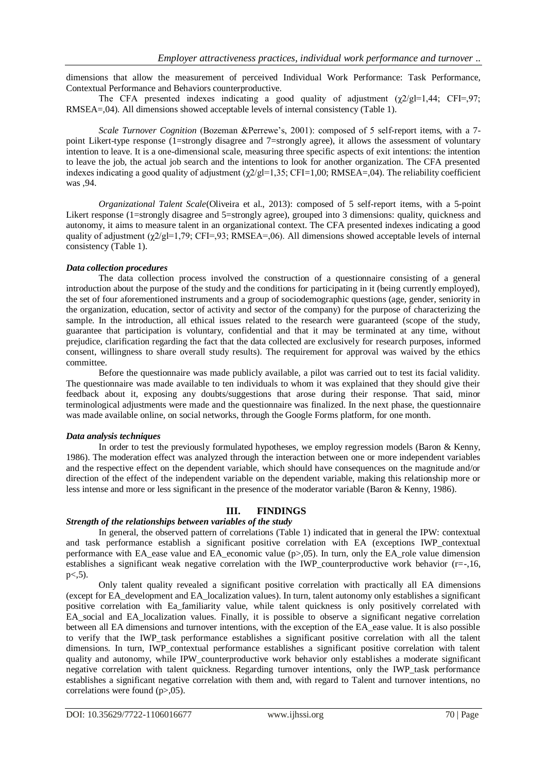dimensions that allow the measurement of perceived Individual Work Performance: Task Performance, Contextual Performance and Behaviors counterproductive.

The CFA presented indexes indicating a good quality of adjustment  $(\chi 2/gl=1,44; CFI=,97;$ RMSEA=,04). All dimensions showed acceptable levels of internal consistency (Table 1).

*Scale Turnover Cognition* (Bozeman &Perrewe's, 2001): composed of 5 self-report items, with a 7 point Likert-type response (1=strongly disagree and 7=strongly agree), it allows the assessment of voluntary intention to leave. It is a one-dimensional scale, measuring three specific aspects of exit intentions: the intention to leave the job, the actual job search and the intentions to look for another organization. The CFA presented indexes indicating a good quality of adjustment  $(\chi/2)g=1,35$ ; CFI=1,00; RMSEA=,04). The reliability coefficient was ,94.

*Organizational Talent Scale*(Oliveira et al., 2013): composed of 5 self-report items, with a 5-point Likert response (1=strongly disagree and 5=strongly agree), grouped into 3 dimensions: quality, quickness and autonomy, it aims to measure talent in an organizational context. The CFA presented indexes indicating a good quality of adjustment  $(\chi^2/gl=1,79; CFI=93; RMSEA=0,6)$ . All dimensions showed acceptable levels of internal consistency (Table 1).

#### *Data collection procedures*

The data collection process involved the construction of a questionnaire consisting of a general introduction about the purpose of the study and the conditions for participating in it (being currently employed), the set of four aforementioned instruments and a group of sociodemographic questions (age, gender, seniority in the organization, education, sector of activity and sector of the company) for the purpose of characterizing the sample. In the introduction, all ethical issues related to the research were guaranteed (scope of the study, guarantee that participation is voluntary, confidential and that it may be terminated at any time, without prejudice, clarification regarding the fact that the data collected are exclusively for research purposes, informed consent, willingness to share overall study results). The requirement for approval was waived by the ethics committee.

Before the questionnaire was made publicly available, a pilot was carried out to test its facial validity. The questionnaire was made available to ten individuals to whom it was explained that they should give their feedback about it, exposing any doubts/suggestions that arose during their response. That said, minor terminological adjustments were made and the questionnaire was finalized. In the next phase, the questionnaire was made available online, on social networks, through the Google Forms platform, for one month.

#### *Data analysis techniques*

In order to test the previously formulated hypotheses, we employ regression models (Baron & Kenny, 1986). The moderation effect was analyzed through the interaction between one or more independent variables and the respective effect on the dependent variable, which should have consequences on the magnitude and/or direction of the effect of the independent variable on the dependent variable, making this relationship more or less intense and more or less significant in the presence of the moderator variable (Baron & Kenny, 1986).

## **III. FINDINGS**

### *Strength of the relationships between variables of the study*

In general, the observed pattern of correlations (Table 1) indicated that in general the IPW: contextual and task performance establish a significant positive correlation with EA (exceptions IWP\_contextual performance with EA\_ease value and EA\_economic value (p>,05). In turn, only the EA\_role value dimension establishes a significant weak negative correlation with the IWP counterproductive work behavior  $(r=-,16,$  $p< 0.5$ ).

Only talent quality revealed a significant positive correlation with practically all EA dimensions (except for EA\_development and EA\_localization values). In turn, talent autonomy only establishes a significant positive correlation with Ea\_familiarity value, while talent quickness is only positively correlated with EA\_social and EA\_localization values. Finally, it is possible to observe a significant negative correlation between all EA dimensions and turnover intentions, with the exception of the EA\_ease value. It is also possible to verify that the IWP\_task performance establishes a significant positive correlation with all the talent dimensions. In turn, IWP contextual performance establishes a significant positive correlation with talent quality and autonomy, while IPW counterproductive work behavior only establishes a moderate significant negative correlation with talent quickness. Regarding turnover intentions, only the IWP\_task performance establishes a significant negative correlation with them and, with regard to Talent and turnover intentions, no correlations were found (p>,05).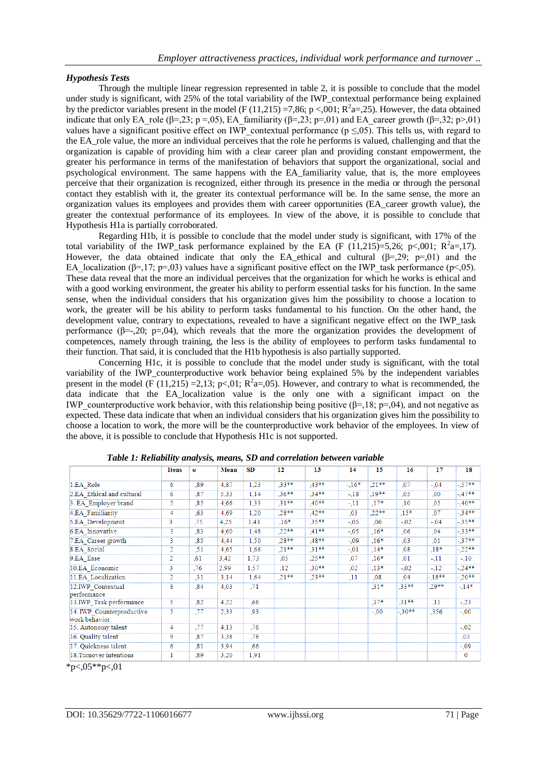#### *Hypothesis Tests*

Through the multiple linear regression represented in table 2, it is possible to conclude that the model under study is significant, with 25% of the total variability of the IWP\_contextual performance being explained by the predictor variables present in the model (F (11,215) =7,86; p <,001;  $R^2a=25$ ). However, the data obtained indicate that only EA\_role (β=,23; p=,05), EA\_familiarity (β=,23; p=,01) and EA\_career growth (β=,32; p>,01) values have a significant positive effect on IWP\_contextual performance ( $p \leq 0.05$ ). This tells us, with regard to the EA\_role value, the more an individual perceives that the role he performs is valued, challenging and that the organization is capable of providing him with a clear career plan and providing constant empowerment, the greater his performance in terms of the manifestation of behaviors that support the organizational, social and psychological environment. The same happens with the EA\_familiarity value, that is, the more employees perceive that their organization is recognized, either through its presence in the media or through the personal contact they establish with it, the greater its contextual performance will be. In the same sense, the more an organization values its employees and provides them with career opportunities (EA\_career growth value), the greater the contextual performance of its employees. In view of the above, it is possible to conclude that Hypothesis H1a is partially corroborated.

Regarding H1b, it is possible to conclude that the model under study is significant, with 17% of the total variability of the IWP task performance explained by the EA (F (11,215)=5,26; p<,001; R<sup>2</sup>a=,17). However, the data obtained indicate that only the EA ethical and cultural  $(\beta = 29; p=01)$  and the EA\_localization ( $\beta$ =,17; p=,03) values have a significant positive effect on the IWP\_task performance (p<,05). These data reveal that the more an individual perceives that the organization for which he works is ethical and with a good working environment, the greater his ability to perform essential tasks for his function. In the same sense, when the individual considers that his organization gives him the possibility to choose a location to work, the greater will be his ability to perform tasks fundamental to his function. On the other hand, the development value, contrary to expectations, revealed to have a significant negative effect on the IWP\_task performance ( $\beta = -20$ ; p=,04), which reveals that the more the organization provides the development of competences, namely through training, the less is the ability of employees to perform tasks fundamental to their function. That said, it is concluded that the H1b hypothesis is also partially supported.

Concerning H1c, it is possible to conclude that the model under study is significant, with the total variability of the IWP\_counterproductive work behavior being explained 5% by the independent variables present in the model (F (11,215) = 2,13; p<,01;  $R^2a=0.05$ ). However, and contrary to what is recommended, the data indicate that the EA\_localization value is the only one with a significant impact on the IWP\_counterproductive work behavior, with this relationship being positive ( $\beta$ =,18; p=,04), and not negative as expected. These data indicate that when an individual considers that his organization gives him the possibility to choose a location to work, the more will be the counterproductive work behavior of the employees. In view of the above, it is possible to conclude that Hypothesis H1c is not supported.

|                                            | <b>Itens</b>   | $\alpha$ | <b>Mean</b> | SD   | 12      | 13      | 14      | 15      | 16      | 17       | 18           |
|--------------------------------------------|----------------|----------|-------------|------|---------|---------|---------|---------|---------|----------|--------------|
| 1.EA Role                                  | 6              | .89      | 4,87        | 1,23 | .33**   | $,43**$ | $-.16*$ | $.21**$ | ,07     | $-.04$   | $-.57**$     |
| 2.EA Ethical and cultural                  | 6              | .87      | 5,33        | 1.14 | $.36**$ | $.34**$ | $-.18$  | $.19**$ | .05     | ,00      | $-47**$      |
| 3. EA Employer brand                       | 5.             | .85      | 4.66        | 1.33 | $.31**$ | $.40**$ | $-.11$  | $.17*$  | .10     | ,05      | $-40**$      |
| 4.EA Familiarity                           | 4              | .63      | 4,69        | 1.20 | $.28**$ | $.42**$ | .03     | $.22**$ | $.15*$  | .07      | $-34**$      |
| 5.EA Development                           | 3              | .75      | 4,25        | 1,43 | $,16*$  | .35**   | $-.05$  | .06     | $-.02$  | $-.04$   | $-35**$      |
| 6.EA Innovative                            | 3              | .83      | 4,60        | 1,48 | $,22**$ | $,41**$ | $-.05$  | $.16*$  | .06     | ,04      | $-33**$      |
| 7.EA Career growth                         | 3              | .85      | 4.44        | 1.50 | $.28**$ | .48**   | $-0.09$ | $.16*$  | .03     | ,01      | $-37**$      |
| 8.EA Social                                | 2              | .51      | 4,65        | 1.66 | $,21**$ | $,31**$ | $-.01$  | $.14*$  | 0.08    | $0.18*$  | $-22**$      |
| 9.EA Ease                                  | $\overline{2}$ | .61      | 3,42        | 1,73 | ,05     | .25**   | ,07     | $.16*$  | .01     | $-11$    | $-10$        |
| 10.EA_Economic                             | 3              | ,76      | 2,99        | 1.57 | .12     | $.30**$ | .02     | $.13*$  | $-.02$  | $-.12$   | $-24**$      |
| 11.EA Localization                         | $\overline{2}$ | .31      | 3,14        | 1,64 | $.21**$ | $.23**$ | .11     | .08     | .04     | $-.18**$ | $-20**$      |
| 12.IWP Contextual<br>performance           | 8              | .84      | 4,03        | ,71  |         |         |         | $.31*$  | $.33**$ | .29**    | $-.14*$      |
| 13.IWP Task performance                    | 5              | .82      | 4,22        | .66  |         |         |         | $.37*$  | $.31**$ | .11      | $-23$        |
| 14. IWP Counterproductive<br>work behavior | 5              | .77      | 2,33        | .93  |         |         |         | $-.00$  | $-30**$ | .356     | $-.00$       |
| 15. Autonomy talent                        | 4              | .77      | 4,13        | .76  |         |         |         |         |         |          | $-.02$       |
| 16. Quality talent                         | 9              | .87      | 3,38        | .78  |         |         |         |         |         |          | ,03          |
| 17. Quickness talent                       | 6              | .81      | 3,94        | .66  |         |         |         |         |         |          | $-0.09$      |
| 18. Turnover intentions                    |                | .89      | 3,20        | 1.91 |         |         |         |         |         |          | $\mathbf{0}$ |

*Table 1: Reliability analysis, means, SD and correlation between variable*

 $*p<0.05**p<0.1$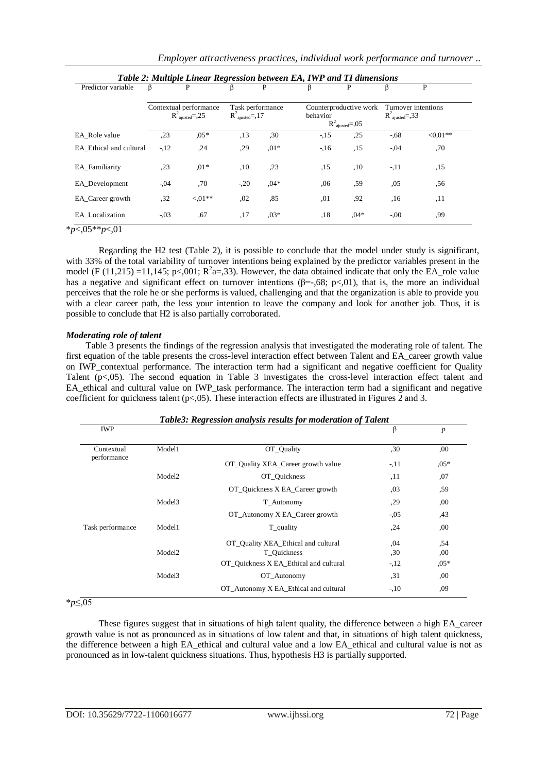| Table 2: Multiple Linear Regression between EA, IWP and TI dimensions |         |                                                         |                                                 |        |          |                                                         |                             |                     |
|-----------------------------------------------------------------------|---------|---------------------------------------------------------|-------------------------------------------------|--------|----------|---------------------------------------------------------|-----------------------------|---------------------|
| Predictor variable                                                    | β       | P                                                       | β                                               | P      | β        | P                                                       |                             | P                   |
|                                                                       |         | Contextual performance<br>$R^2_{\text{aiusted}} = 0.25$ | Task performance<br>$R^2_{\text{aiusted}} = 17$ |        | behavior | Counterproductive work<br>$R^2_{\text{ajusted}} = 0.05$ | $R^2_{\text{ajusted}} = 33$ | Turnover intentions |
| EA Role value                                                         | ,23     | $.05*$                                                  | ,13                                             | .30    | $-15$    | ,25                                                     | $-68$                       | $<0.01**$           |
| EA Ethical and cultural                                               | $-12$   | ,24                                                     | ,29                                             | $.01*$ | $-16$    | ,15                                                     | $-.04$                      | ,70                 |
| EA Familiarity                                                        | ,23     | $.01*$                                                  | ,10                                             | ,23    | ,15      | ,10                                                     | $-.11$                      | ,15                 |
| EA Development                                                        | $-0.04$ | .70                                                     | $-.20$                                          | $.04*$ | .06      | .59                                                     | .05                         | .56                 |
| EA Career growth                                                      | .32     | ${<}01**$                                               | ,02                                             | .85    | ,01      | ,92                                                     | .16                         | ,11                 |
| EA Localization                                                       | $-.03$  | .67                                                     | ,17                                             | $.03*$ | .18      | $.04*$                                                  | $-0.00$                     | .99                 |

|  | Employer attractiveness practices, individual work performance and turnover |  |  |  |  |
|--|-----------------------------------------------------------------------------|--|--|--|--|
|--|-----------------------------------------------------------------------------|--|--|--|--|

\**p*<,05\*\**p*<,01

Regarding the H2 test (Table 2), it is possible to conclude that the model under study is significant, with 33% of the total variability of turnover intentions being explained by the predictor variables present in the model (F (11,215) =11,145; p<,001;  $R^2a=33$ ). However, the data obtained indicate that only the EA\_role value has a negative and significant effect on turnover intentions ( $\beta$ =-,68; p<,01), that is, the more an individual perceives that the role he or she performs is valued, challenging and that the organization is able to provide you with a clear career path, the less your intention to leave the company and look for another job. Thus, it is possible to conclude that H2 is also partially corroborated.

#### *Moderating role of talent*

Table 3 presents the findings of the regression analysis that investigated the moderating role of talent. The first equation of the table presents the cross-level interaction effect between Talent and EA\_career growth value on IWP\_contextual performance. The interaction term had a significant and negative coefficient for Quality Talent (p<05). The second equation in Table 3 investigates the cross-level interaction effect talent and EA ethical and cultural value on IWP task performance. The interaction term had a significant and negative coefficient for quickness talent ( $p<0.05$ ). These interaction effects are illustrated in Figures 2 and 3.

| Table3: Regression analysis results for moderation of Talent |                    |                                        |         |                  |  |  |  |  |
|--------------------------------------------------------------|--------------------|----------------------------------------|---------|------------------|--|--|--|--|
| <b>IWP</b>                                                   |                    |                                        | β       | $\boldsymbol{p}$ |  |  |  |  |
| Contextual<br>performance                                    | Model1             | OT Ouality                             | ,30     | .00.             |  |  |  |  |
|                                                              |                    | OT_Quality XEA_Career growth value     | $-11$   | $.05*$           |  |  |  |  |
|                                                              | Model <sub>2</sub> | OT Quickness                           | ,11     | .07              |  |  |  |  |
|                                                              |                    | OT_Quickness X EA_Career growth        | .03     | ,59              |  |  |  |  |
|                                                              | Model3             | T Autonomy                             | ,29     | ,00              |  |  |  |  |
|                                                              |                    | OT_Autonomy X EA_Career growth         | $-0.05$ | ,43              |  |  |  |  |
| Task performance                                             | Model1             | T_quality                              | ,24     | ,00              |  |  |  |  |
|                                                              |                    | OT_Quality XEA_Ethical and cultural    | ,04     | ,54              |  |  |  |  |
|                                                              | Model <sub>2</sub> | T Quickness                            | ,30     | ,00              |  |  |  |  |
|                                                              |                    | OT_Quickness X EA_Ethical and cultural | $-12$   | $.05*$           |  |  |  |  |
|                                                              | Model <sub>3</sub> | OT Autonomy                            | , 31    | ,00              |  |  |  |  |
|                                                              |                    | OT_Autonomy X EA_Ethical and cultural  | $-10$   | ,09              |  |  |  |  |

\**p*≤,05

These figures suggest that in situations of high talent quality, the difference between a high EA\_career growth value is not as pronounced as in situations of low talent and that, in situations of high talent quickness, the difference between a high EA\_ethical and cultural value and a low EA\_ethical and cultural value is not as pronounced as in low-talent quickness situations. Thus, hypothesis H3 is partially supported.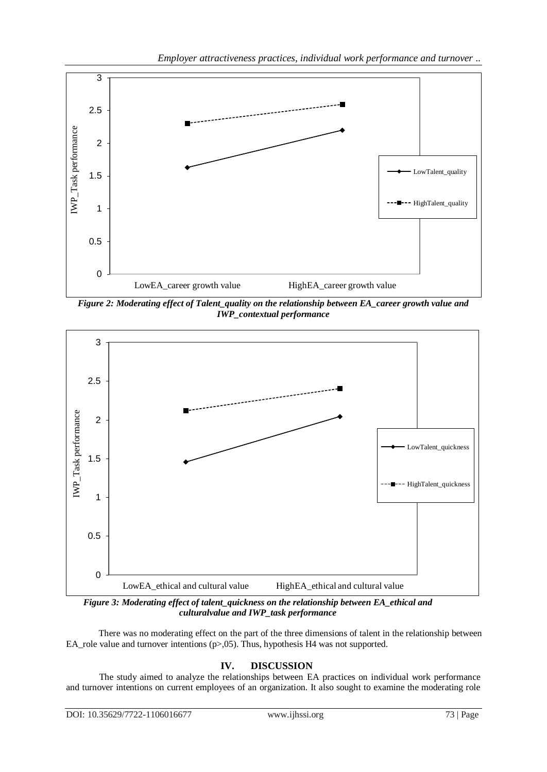

*Figure 2: Moderating effect of Talent\_quality on the relationship between EA\_career growth value and IWP\_contextual performance*



*Figure 3: Moderating effect of talent\_quickness on the relationship between EA\_ethical and culturalvalue and IWP\_task performance*

There was no moderating effect on the part of the three dimensions of talent in the relationship between EA\_role value and turnover intentions (p>,05). Thus, hypothesis H4 was not supported.

## **IV. DISCUSSION**

The study aimed to analyze the relationships between EA practices on individual work performance and turnover intentions on current employees of an organization. It also sought to examine the moderating role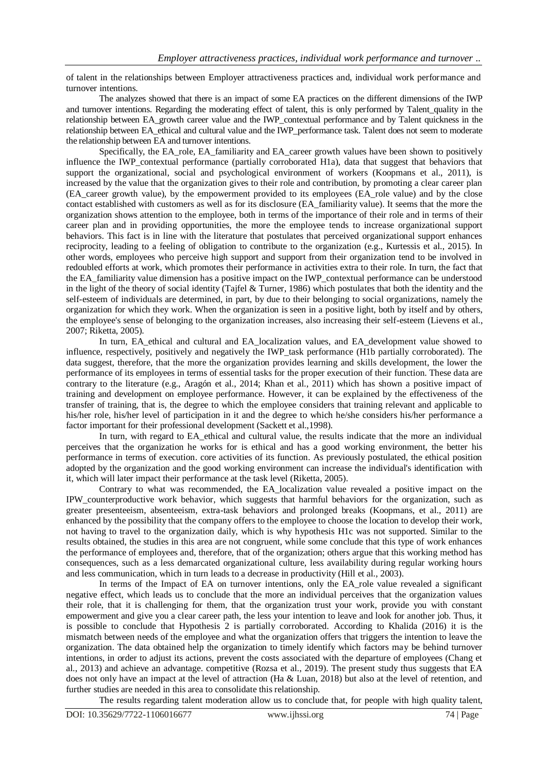of talent in the relationships between Employer attractiveness practices and, individual work performance and turnover intentions.

The analyzes showed that there is an impact of some EA practices on the different dimensions of the IWP and turnover intentions. Regarding the moderating effect of talent, this is only performed by Talent quality in the relationship between EA\_growth career value and the IWP\_contextual performance and by Talent quickness in the relationship between EA\_ethical and cultural value and the IWP\_performance task. Talent does not seem to moderate the relationship between EA and turnover intentions.

Specifically, the EA\_role, EA\_familiarity and EA\_career growth values have been shown to positively influence the IWP\_contextual performance (partially corroborated H1a), data that suggest that behaviors that support the organizational, social and psychological environment of workers (Koopmans et al., 2011), is increased by the value that the organization gives to their role and contribution, by promoting a clear career plan (EA\_career growth value), by the empowerment provided to its employees (EA\_role value) and by the close contact established with customers as well as for its disclosure (EA\_familiarity value). It seems that the more the organization shows attention to the employee, both in terms of the importance of their role and in terms of their career plan and in providing opportunities, the more the employee tends to increase organizational support behaviors. This fact is in line with the literature that postulates that perceived organizational support enhances reciprocity, leading to a feeling of obligation to contribute to the organization (e.g., Kurtessis et al., 2015). In other words, employees who perceive high support and support from their organization tend to be involved in redoubled efforts at work, which promotes their performance in activities extra to their role. In turn, the fact that the EA\_familiarity value dimension has a positive impact on the IWP\_contextual performance can be understood in the light of the theory of social identity (Tajfel & Turner, 1986) which postulates that both the identity and the self-esteem of individuals are determined, in part, by due to their belonging to social organizations, namely the organization for which they work. When the organization is seen in a positive light, both by itself and by others, the employee's sense of belonging to the organization increases, also increasing their self-esteem (Lievens et al., 2007; Riketta, 2005).

In turn, EA\_ethical and cultural and EA\_localization values, and EA\_development value showed to influence, respectively, positively and negatively the IWP\_task performance (H1b partially corroborated). The data suggest, therefore, that the more the organization provides learning and skills development, the lower the performance of its employees in terms of essential tasks for the proper execution of their function. These data are contrary to the literature (e.g., Aragón et al., 2014; Khan et al., 2011) which has shown a positive impact of training and development on employee performance. However, it can be explained by the effectiveness of the transfer of training, that is, the degree to which the employee considers that training relevant and applicable to his/her role, his/her level of participation in it and the degree to which he/she considers his/her performance a factor important for their professional development (Sackett et al.,1998).

In turn, with regard to EA\_ethical and cultural value, the results indicate that the more an individual perceives that the organization he works for is ethical and has a good working environment, the better his performance in terms of execution. core activities of its function. As previously postulated, the ethical position adopted by the organization and the good working environment can increase the individual's identification with it, which will later impact their performance at the task level (Riketta, 2005).

Contrary to what was recommended, the EA\_localization value revealed a positive impact on the IPW\_counterproductive work behavior, which suggests that harmful behaviors for the organization, such as greater presenteeism, absenteeism, extra-task behaviors and prolonged breaks (Koopmans, et al., 2011) are enhanced by the possibility that the company offers to the employee to choose the location to develop their work, not having to travel to the organization daily, which is why hypothesis H1c was not supported. Similar to the results obtained, the studies in this area are not congruent, while some conclude that this type of work enhances the performance of employees and, therefore, that of the organization; others argue that this working method has consequences, such as a less demarcated organizational culture, less availability during regular working hours and less communication, which in turn leads to a decrease in productivity (Hill et al., 2003).

In terms of the Impact of EA on turnover intentions, only the EA role value revealed a significant negative effect, which leads us to conclude that the more an individual perceives that the organization values their role, that it is challenging for them, that the organization trust your work, provide you with constant empowerment and give you a clear career path, the less your intention to leave and look for another job. Thus, it is possible to conclude that Hypothesis 2 is partially corroborated. According to Khalida (2016) it is the mismatch between needs of the employee and what the organization offers that triggers the intention to leave the organization. The data obtained help the organization to timely identify which factors may be behind turnover intentions, in order to adjust its actions, prevent the costs associated with the departure of employees (Chang et al., 2013) and achieve an advantage. competitive (Rozsa et al., 2019). The present study thus suggests that EA does not only have an impact at the level of attraction (Ha & Luan, 2018) but also at the level of retention, and further studies are needed in this area to consolidate this relationship.

The results regarding talent moderation allow us to conclude that, for people with high quality talent,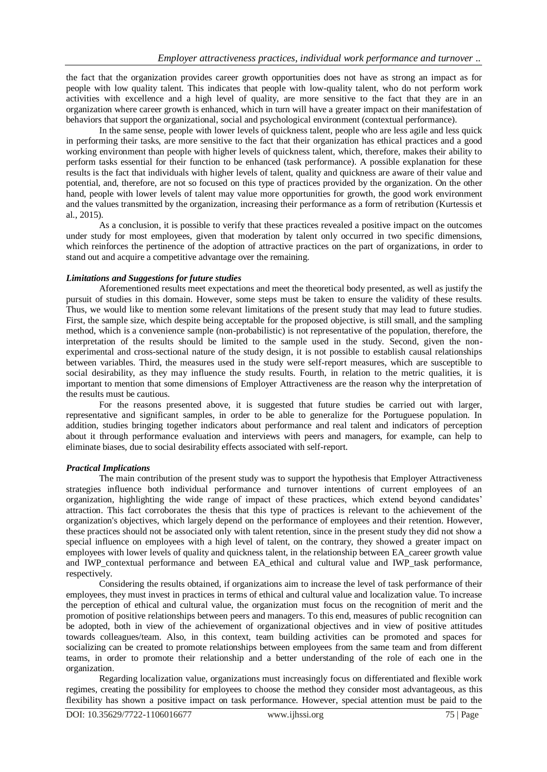the fact that the organization provides career growth opportunities does not have as strong an impact as for people with low quality talent. This indicates that people with low-quality talent, who do not perform work activities with excellence and a high level of quality, are more sensitive to the fact that they are in an organization where career growth is enhanced, which in turn will have a greater impact on their manifestation of behaviors that support the organizational, social and psychological environment (contextual performance).

In the same sense, people with lower levels of quickness talent, people who are less agile and less quick in performing their tasks, are more sensitive to the fact that their organization has ethical practices and a good working environment than people with higher levels of quickness talent, which, therefore, makes their ability to perform tasks essential for their function to be enhanced (task performance). A possible explanation for these results is the fact that individuals with higher levels of talent, quality and quickness are aware of their value and potential, and, therefore, are not so focused on this type of practices provided by the organization. On the other hand, people with lower levels of talent may value more opportunities for growth, the good work environment and the values transmitted by the organization, increasing their performance as a form of retribution (Kurtessis et al., 2015).

As a conclusion, it is possible to verify that these practices revealed a positive impact on the outcomes under study for most employees, given that moderation by talent only occurred in two specific dimensions, which reinforces the pertinence of the adoption of attractive practices on the part of organizations, in order to stand out and acquire a competitive advantage over the remaining.

#### *Limitations and Suggestions for future studies*

Aforementioned results meet expectations and meet the theoretical body presented, as well as justify the pursuit of studies in this domain. However, some steps must be taken to ensure the validity of these results. Thus, we would like to mention some relevant limitations of the present study that may lead to future studies. First, the sample size, which despite being acceptable for the proposed objective, is still small, and the sampling method, which is a convenience sample (non-probabilistic) is not representative of the population, therefore, the interpretation of the results should be limited to the sample used in the study. Second, given the nonexperimental and cross-sectional nature of the study design, it is not possible to establish causal relationships between variables. Third, the measures used in the study were self-report measures, which are susceptible to social desirability, as they may influence the study results. Fourth, in relation to the metric qualities, it is important to mention that some dimensions of Employer Attractiveness are the reason why the interpretation of the results must be cautious.

For the reasons presented above, it is suggested that future studies be carried out with larger, representative and significant samples, in order to be able to generalize for the Portuguese population. In addition, studies bringing together indicators about performance and real talent and indicators of perception about it through performance evaluation and interviews with peers and managers, for example, can help to eliminate biases, due to social desirability effects associated with self-report.

### *Practical Implications*

The main contribution of the present study was to support the hypothesis that Employer Attractiveness strategies influence both individual performance and turnover intentions of current employees of an organization, highlighting the wide range of impact of these practices, which extend beyond candidates' attraction. This fact corroborates the thesis that this type of practices is relevant to the achievement of the organization's objectives, which largely depend on the performance of employees and their retention. However, these practices should not be associated only with talent retention, since in the present study they did not show a special influence on employees with a high level of talent, on the contrary, they showed a greater impact on employees with lower levels of quality and quickness talent, in the relationship between EA\_career growth value and IWP\_contextual performance and between EA\_ethical and cultural value and IWP\_task performance, respectively.

Considering the results obtained, if organizations aim to increase the level of task performance of their employees, they must invest in practices in terms of ethical and cultural value and localization value. To increase the perception of ethical and cultural value, the organization must focus on the recognition of merit and the promotion of positive relationships between peers and managers. To this end, measures of public recognition can be adopted, both in view of the achievement of organizational objectives and in view of positive attitudes towards colleagues/team. Also, in this context, team building activities can be promoted and spaces for socializing can be created to promote relationships between employees from the same team and from different teams, in order to promote their relationship and a better understanding of the role of each one in the organization.

Regarding localization value, organizations must increasingly focus on differentiated and flexible work regimes, creating the possibility for employees to choose the method they consider most advantageous, as this flexibility has shown a positive impact on task performance. However, special attention must be paid to the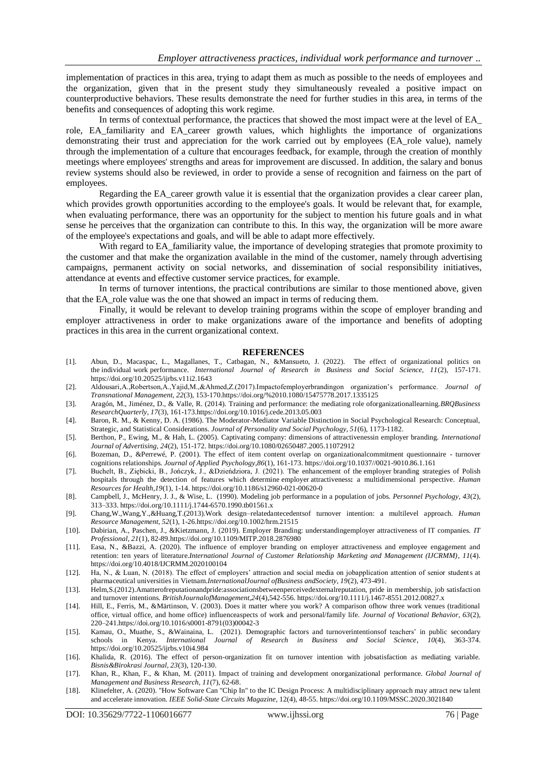implementation of practices in this area, trying to adapt them as much as possible to the needs of employees and the organization, given that in the present study they simultaneously revealed a positive impact on counterproductive behaviors. These results demonstrate the need for further studies in this area, in terms of the benefits and consequences of adopting this work regime.

In terms of contextual performance, the practices that showed the most impact were at the level of EA\_ role, EA\_familiarity and EA\_career growth values, which highlights the importance of organizations demonstrating their trust and appreciation for the work carried out by employees (EA role value), namely through the implementation of a culture that encourages feedback, for example, through the creation of monthly meetings where employees' strengths and areas for improvement are discussed. In addition, the salary and bonus review systems should also be reviewed, in order to provide a sense of recognition and fairness on the part of employees.

Regarding the EA\_career growth value it is essential that the organization provides a clear career plan, which provides growth opportunities according to the employee's goals. It would be relevant that, for example, when evaluating performance, there was an opportunity for the subject to mention his future goals and in what sense he perceives that the organization can contribute to this. In this way, the organization will be more aware of the employee's expectations and goals, and will be able to adapt more effectively.

With regard to EA\_familiarity value, the importance of developing strategies that promote proximity to the customer and that make the organization available in the mind of the customer, namely through advertising campaigns, permanent activity on social networks, and dissemination of social responsibility initiatives, attendance at events and effective customer service practices, for example.

In terms of turnover intentions, the practical contributions are similar to those mentioned above, given that the EA role value was the one that showed an impact in terms of reducing them.

Finally, it would be relevant to develop training programs within the scope of employer branding and employer attractiveness in order to make organizations aware of the importance and benefits of adopting practices in this area in the current organizational context.

#### **REFERENCES**

- [1]. Abun, D., Macaspac, L., Magallanes, T., Catbagan, N., &Mansueto, J. (2022). The effect of [organizational](https://eds.s.ebscohost.com/eds/viewarticle/render?data=dGJyMPPp44rp2%2fdV0%2bnjisfk5Ie45PFIrqawUa6k63nn5Kx94um%2bS62otkewprBKnqewUrOsuEu2ls5lpOrweezp33vy3%2b2G59q7ULKotki3prRJpOnnfLvZt1GxpuNQsKOzTt%2bqq0yyqrZF39qzeauttX7fqrJ839fjTre28H3i3%2fE%2b6tfsf7vm8kXu6qR84LPjfPHa7YKk6t9%2fu7fMPt%2fku33i6eKH6KS0Sbbcr0q2rbVLsqrhTN%2fYsn2y17R%2b3662TbPY4k7gnOSH8OPfjLvc84Tq6uOQ8pzljePp8lXS6PN9&vid=5&sid=c9930e82-56a4-4448-ad5a-77fa44daae69@redis) politics on the individual work [performance.](https://eds.s.ebscohost.com/eds/viewarticle/render?data=dGJyMPPp44rp2%2fdV0%2bnjisfk5Ie45PFIrqawUa6k63nn5Kx94um%2bS62otkewprBKnqewUrOsuEu2ls5lpOrweezp33vy3%2b2G59q7ULKotki3prRJpOnnfLvZt1GxpuNQsKOzTt%2bqq0yyqrZF39qzeauttX7fqrJ839fjTre28H3i3%2fE%2b6tfsf7vm8kXu6qR84LPjfPHa7YKk6t9%2fu7fMPt%2fku33i6eKH6KS0Sbbcr0q2rbVLsqrhTN%2fYsn2y17R%2b3662TbPY4k7gnOSH8OPfjLvc84Tq6uOQ8pzljePp8lXS6PN9&vid=5&sid=c9930e82-56a4-4448-ad5a-77fa44daae69@redis) *International Journal of Research in Business and Social Science, 11*(2), 157-171. <https://doi.org/10.20525/ijrbs.v11i2.1643>
- [2]. Aldousari,A.,Robertson,A.,Yajid,M.,&Ahmed,Z.(2017).Impactofemployerbrandingon organization's performance. *Journal of Transnational Management, 22*(3), 153-17[0.https://doi.org/%2010.1080/15475778.2017.1335125](https://doi.org/%2010.1080/15475778.2017.1335125)
- [3]. Aragón, M., Jiménez, D., & Valle, R. (2014). Training and performance: the mediating role oforganizationallearning.*BRQBusiness ResearchQuarterly, 17*(3), 161-17[3.https://doi.org/10.1016/j.cede.2013.05.003](https://doi.org/10.1016/j.cede.2013.05.003)
- [4]. Baron, R. M., & Kenny, D. A. (1986). The Moderator-Mediator Variable Distinction in Social Psychological Research: Conceptual, Strategic, and Statistical Considerations. *Journal of Personality and Social Psychology, 51*(6), 1173-1182.
- [5]. Berthon, P., Ewing, M., & Hah, L. (2005). Captivating company: dimensions of attractivenessin employer branding. *International Journal of Advertising, 24*(2), 151-172[. https://doi.org/10.1080/02650487.2005.11072912](https://doi.org/10.1080/02650487.2005.11072912)
- [6]. Bozeman, D., &Perrewé, P. (2001). The effect of item content overlap on organizationalcommitment questionnaire turnover cognitions relationships. *Journal of Applied Psychology,86*(1), 161-173[. https://doi.org/10.1037//0021-9010.86.1.161](https://doi.org/10.1037/0021-9010.86.1.161)
- [7]. Buchelt, B., Ziębicki, B., Jończyk, J., &Dzieńdziora, J. (2021). The [enhancement](https://eds.s.ebscohost.com/eds/viewarticle/render?data=dGJyMPPp44rp2%2fdV0%2bnjisfk5Ie45PFIrqawUa6k63nn5Kx94um%2bS62otkewprBKnqewUrOsuEu2ls5lpOrweezp33vy3%2b2G59q7ULKotki3prRJpOnnfLvZt1GxpuNQsKOzTt%2bqq0yyqrZF39qzeauttX7fqrJ839fjTre28H3i3%2fE%2b6tfsf7vm8kXu6qR84LPjfPHa7YKk6t9%2fu7fMPt%2fku33i6eKH6KS1fq7b4nripuJIr9qySLartlCzqrFItqy1UbPatnqwqKR%2b7ejrefKz7nzk3POE6urjkPKc5Y3j6fJV0ujzfQAA&vid=3&sid=c9930e82-56a4-4448-ad5a-77fa44daae69@redis) of the employer branding strategies of Polish hospitals through the detection of features which determine employer attractiveness**:** a [multidimensional](https://eds.s.ebscohost.com/eds/viewarticle/render?data=dGJyMPPp44rp2%2fdV0%2bnjisfk5Ie45PFIrqawUa6k63nn5Kx94um%2bS62otkewprBKnqewUrOsuEu2ls5lpOrweezp33vy3%2b2G59q7ULKotki3prRJpOnnfLvZt1GxpuNQsKOzTt%2bqq0yyqrZF39qzeauttX7fqrJ839fjTre28H3i3%2fE%2b6tfsf7vm8kXu6qR84LPjfPHa7YKk6t9%2fu7fMPt%2fku33i6eKH6KS1fq7b4nripuJIr9qySLartlCzqrFItqy1UbPatnqwqKR%2b7ejrefKz7nzk3POE6urjkPKc5Y3j6fJV0ujzfQAA&vid=3&sid=c9930e82-56a4-4448-ad5a-77fa44daae69@redis) perspective. *Human Resources for Health,19*(1), 1-14.<https://doi.org/10.1186/s12960-021-00620-0>
- [8]. Campbell, J., McHenry, J. J., & Wise, L. (1990). Modeling job performance in a population of jobs. *Personnel Psychology, 43*(2), 313–333. [https://doi.org/10.1111/j.1744-6570.1990.tb01561.x](https://psycnet.apa.org/doi/10.1111/j.1744-6570.1990.tb01561.x)
- [9]. Chang,W.,Wang,Y.,&Huang,T.(2013).Work design–relatedantecedentsof turnover intention: a multilevel approach. *Human Resource Management, 52*(1), 1-2[6.https://doi.org/10.1002/hrm.21515](https://doi.org/10.1002/hrm.21515)
- [10]. Dabirian, A., Paschen, J., &Kietzmann, J. (2019). Employer Branding: understandingemployer attractiveness of IT companies. *IT Professional, 21*(1), 82-8[9.https://doi.org/10.1109/MITP.2018.2876980](https://doi.org/10.1109/MITP.2018.2876980)
- [11]. Easa, N., &Bazzi, A. (2020). The influence of employer branding on employer attractiveness and employee engagement and retention: ten years of literature.*[International Journal of Customer Relationship Marketing and Management \(IJCRMM\),](https://www.igi-global.com/journal/international-journal-customer-relationship-marketing/1150) 11(4)*. <https://doi.org/10.4018/IJCRMM.2020100104>
- [12]. Ha, N., & Luan, N. (2018). The effect of employers' attraction and social media on jobapplication attention of senior students at pharmaceutical universities in Vietnam.*InternationalJournal ofBusiness andSociety, 19*(2), 473-491.
- [13]. Helm,S.(2012).Amatterofreputationandpride:associationsbetweenperceivedexternalreputation, pride in membership, job satisfaction and turnover intentions*. BritishJournalofManagement,24*(4),542-556*.* [https://doi.org/10.1111/j.1467-8551.2012.00827.x](https://doi.org/10.1111/j.1467-8551.2012.%2000827.x)
- [14]. Hill, E., Ferris, M., &Märtinson, V. (2003). Does it matter where you work? A comparison ofhow three work venues (traditional office, virtual office, and home office) influenceaspects of work and personal/family life. *Journal of Vocational Behavior, 63*(2), 220–24[1.https://doi.org/10.1016/s0001-8791\(03\)00042-3](https://doi.org/10.1016/s0001-8791(03)00042-3)
- [15]. Kamau, O., Muathe, S., &Wainaina, L. (2021). Demographic factors and [turnoverintentionsof](https://eds.s.ebscohost.com/eds/viewarticle/render?data=dGJyMPPp44rp2%2fdV0%2bnjisfk5Ie45PFIrqawUa6k63nn5Kx94um%2bS62otkewprBKnqewUrOsuEu2ls5lpOrweezp33vy3%2b2G59q7ULKotki3prRJpOnnfLvZt1GxpuNQsKOzTt%2bqq0yyqrZF39qzeauttX7fqrJ839fjTre28H3i3%2fE%2b6tfsf7vm8kXu6qR84LPjfPHa7YKk6t9%2fu7fMPt%2fku33i6eKH6KS0St%2fb4k2uprZ7saeyULCr30y3rrVJ4NuwfrGu5FGx2qR%2b7ejrefKz5I3q4vJ99uqkf%2fPb8Yy7yvCN4wAA&vid=6&sid=c9930e82-56a4-4448-ad5a-77fa44daae69@redis) teachers' in public secondary [schools](https://eds.s.ebscohost.com/eds/viewarticle/render?data=dGJyMPPp44rp2%2fdV0%2bnjisfk5Ie45PFIrqawUa6k63nn5Kx94um%2bS62otkewprBKnqewUrOsuEu2ls5lpOrweezp33vy3%2b2G59q7ULKotki3prRJpOnnfLvZt1GxpuNQsKOzTt%2bqq0yyqrZF39qzeauttX7fqrJ839fjTre28H3i3%2fE%2b6tfsf7vm8kXu6qR84LPjfPHa7YKk6t9%2fu7fMPt%2fku33i6eKH6KS0St%2fb4k2uprZ7saeyULCr30y3rrVJ4NuwfrGu5FGx2qR%2b7ejrefKz5I3q4vJ99uqkf%2fPb8Yy7yvCN4wAA&vid=6&sid=c9930e82-56a4-4448-ad5a-77fa44daae69@redis) in Kenya. *International Journal of Research in Business and Social Science*, *10*(4), 363-374. <https://doi.org/10.20525/ijrbs.v10i4.984>
- [16]. Khalida, R. (2016). The effect of person-organization fit on turnover intention with jobsatisfaction as mediating variable. *Bisnis&Birokrasi Journal, 23*(3), 120-130.
- [17]. Khan, R., Khan, F., & Khan, M. (2011). Impact of training and development onorganizational performance. *Global Journal of Management and Business Research, 11*(7), 62-68.
- [18]. Klinefelter, A. (2020). "How Software Can "Chip In" to the IC Design Process: A multidisciplinary approach may attract new talent and accelerate innovation. *IEEE Solid-State Circuits Magazine*, 12(4), 48-55[. https://doi.org/10.1109/MSSC.2020.3021840](https://doi.org/10.1109/MSSC.2020.3021840)